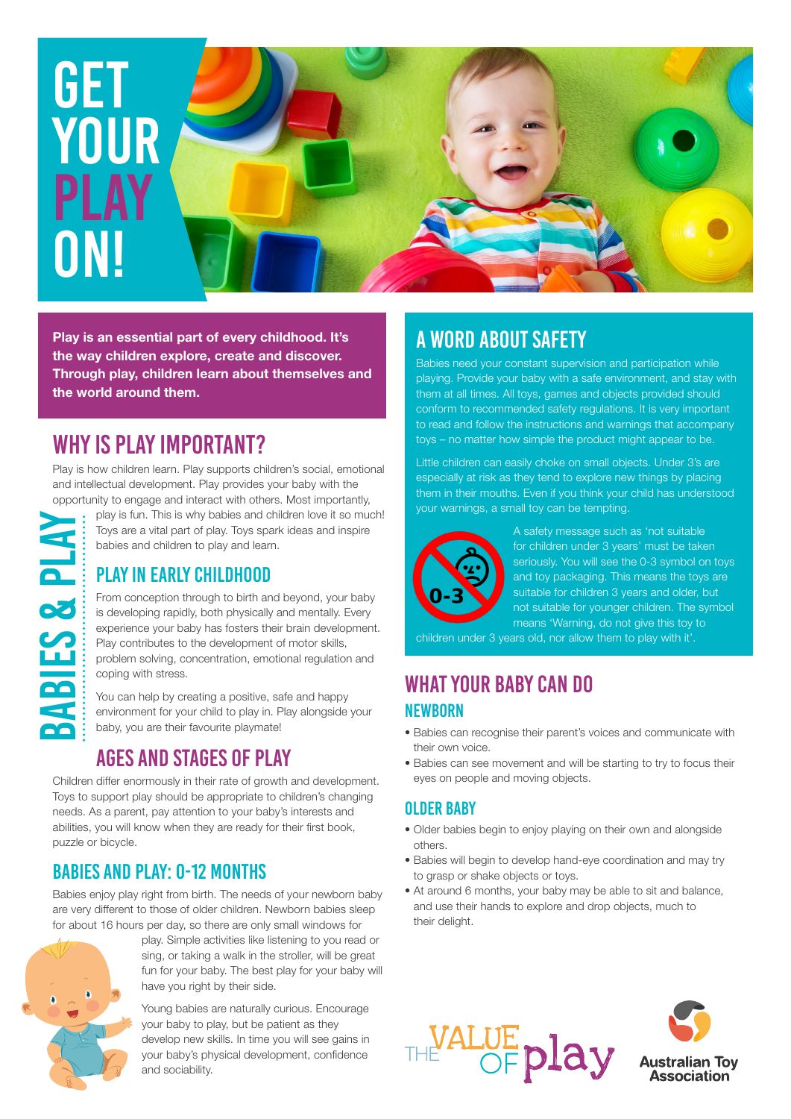# **GET YOUR PLAY** ON!

**Play is an essential part of every childhood. It's the way children explore, create and discover. Through play, children learn about themselves and the world around them.**

# why is play important?

Play is how children learn. Play supports children's social, emotional and intellectual development. Play provides your baby with the

opportunity to engage and interact with others. Most importantly, play is fun. This is why babies and children love it so much! Toys are a vital part of play. Toys spark ideas and inspire babies and children to play and learn.

# PLAY IN EARLY CHILDHOOD

From conception through to birth and beyond, your baby is developing rapidly, both physically and mentally. Every experience your baby has fosters their brain development. Play contributes to the development of motor skills, problem solving, concentration, emotional regulation and coping with stress.

You can help by creating a positive, safe and happy environment for your child to play in. Play alongside your baby, you are their favourite playmate!

# AGES AND STAGES OF PLAY

Children differ enormously in their rate of growth and development. Toys to support play should be appropriate to children's changing needs. As a parent, pay attention to your baby's interests and abilities, you will know when they are ready for their first book, puzzle or bicycle.

## BABIES AND PLAY: 0-12 MONTHS

Babies enjoy play right from birth. The needs of your newborn baby are very different to those of older children. Newborn babies sleep for about 16 hours per day, so there are only small windows for



play. Simple activities like listening to you read or sing, or taking a walk in the stroller, will be great fun for your baby. The best play for your baby will have you right by their side.

Young babies are naturally curious. Encourage your baby to play, but be patient as they develop new skills. In time you will see gains in your baby's physical development, confidence and sociability.

# A WORD ABOUT SAFETY

Babies need your constant supervision and participation while playing. Provide your baby with a safe environment, and stay with them at all times. All toys, games and objects provided should conform to recommended safety regulations. It is very important to read and follow the instructions and warnings that accompany toys – no matter how simple the product might appear to be.

Little children can easily choke on small objects. Under 3's are especially at risk as they tend to explore new things by placing them in their mouths. Even if you think your child has understood your warnings, a small toy can be tempting.



A safety message such as 'not suitable for children under 3 years' must be taken seriously. You will see the 0-3 symbol on toys and toy packaging. This means the toys are suitable for children 3 years and older, but not suitable for younger children. The symbol means 'Warning, do not give this toy to

children under 3 years old, nor allow them to play with it'.

### WHAT YOUR BABY CAN DO NEWBORN

- Babies can recognise their parent's voices and communicate with their own voice.
- Babies can see movement and will be starting to try to focus their eyes on people and moving objects.

#### OLDER BABY

- Older babies begin to enjoy playing on their own and alongside others.
- Babies will begin to develop hand-eye coordination and may try to grasp or shake objects or toys.
- At around 6 months, your baby may be able to sit and balance, and use their hands to explore and drop objects, much to their delight.